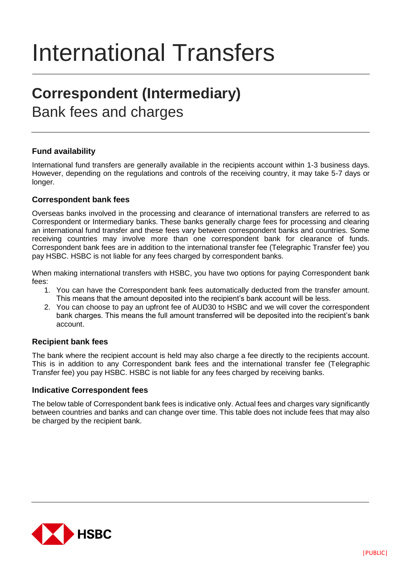# International Transfers

## **Correspondent (Intermediary)**

### Bank fees and charges

#### **Fund availability**

International fund transfers are generally available in the recipients account within 1-3 business days. However, depending on the regulations and controls of the receiving country, it may take 5-7 days or longer.

#### **Correspondent bank fees**

Overseas banks involved in the processing and clearance of international transfers are referred to as Correspondent or Intermediary banks. These banks generally charge fees for processing and clearing an international fund transfer and these fees vary between correspondent banks and countries. Some receiving countries may involve more than one correspondent bank for clearance of funds. Correspondent bank fees are in addition to the international transfer fee (Telegraphic Transfer fee) you pay HSBC. HSBC is not liable for any fees charged by correspondent banks.

When making international transfers with HSBC, you have two options for paying Correspondent bank fees:

- 1. You can have the Correspondent bank fees automatically deducted from the transfer amount. This means that the amount deposited into the recipient's bank account will be less.
- 2. You can choose to pay an upfront fee of AUD30 to HSBC and we will cover the correspondent bank charges. This means the full amount transferred will be deposited into the recipient's bank account.

#### **Recipient bank fees**

The bank where the recipient account is held may also charge a fee directly to the recipients account. This is in addition to any Correspondent bank fees and the international transfer fee (Telegraphic Transfer fee) you pay HSBC. HSBC is not liable for any fees charged by receiving banks.

#### **Indicative Correspondent fees**

The below table of Correspondent bank fees is indicative only. Actual fees and charges vary significantly between countries and banks and can change over time. This table does not include fees that may also be charged by the recipient bank.

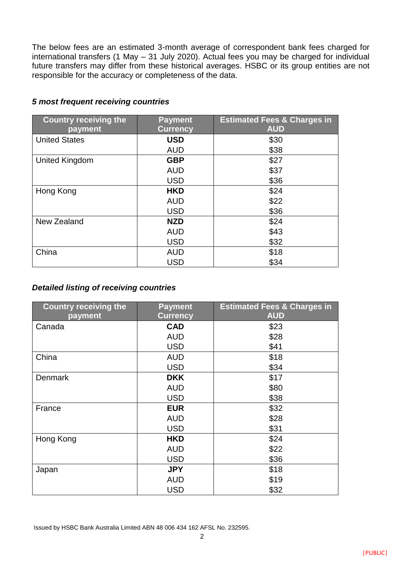The below fees are an estimated 3-month average of correspondent bank fees charged for international transfers (1 May – 31 July 2020). Actual fees you may be charged for individual future transfers may differ from these historical averages. HSBC or its group entities are not responsible for the accuracy or completeness of the data.

| <b>Country receiving the</b> | <b>Payment</b>  | <b>Estimated Fees &amp; Charges in</b> |
|------------------------------|-----------------|----------------------------------------|
| payment                      | <b>Currency</b> | <b>AUD</b>                             |
| <b>United States</b>         | <b>USD</b>      | \$30                                   |
|                              | <b>AUD</b>      | \$38                                   |
| <b>United Kingdom</b>        | <b>GBP</b>      | \$27                                   |
|                              | <b>AUD</b>      | \$37                                   |
|                              | <b>USD</b>      | \$36                                   |
| Hong Kong                    | <b>HKD</b>      | \$24                                   |
|                              | <b>AUD</b>      | \$22                                   |
|                              | <b>USD</b>      | \$36                                   |
| New Zealand                  | <b>NZD</b>      | \$24                                   |
|                              | <b>AUD</b>      | \$43                                   |
|                              | <b>USD</b>      | \$32                                   |
| China                        | <b>AUD</b>      | \$18                                   |
|                              | <b>USD</b>      | \$34                                   |

#### *5 most frequent receiving countries*

#### *Detailed listing of receiving countries*

| <b>Country receiving the</b> | <b>Payment</b>  | <b>Estimated Fees &amp; Charges in</b> |
|------------------------------|-----------------|----------------------------------------|
| payment                      | <b>Currency</b> | <b>AUD</b>                             |
| Canada                       | <b>CAD</b>      | \$23                                   |
|                              | <b>AUD</b>      | \$28                                   |
|                              | <b>USD</b>      | \$41                                   |
| China                        | <b>AUD</b>      | \$18                                   |
|                              | <b>USD</b>      | \$34                                   |
| <b>Denmark</b>               | <b>DKK</b>      | \$17                                   |
|                              | <b>AUD</b>      | \$80                                   |
|                              | <b>USD</b>      | \$38                                   |
| France                       | <b>EUR</b>      | \$32                                   |
|                              | <b>AUD</b>      | \$28                                   |
|                              | <b>USD</b>      | \$31                                   |
| Hong Kong                    | <b>HKD</b>      | \$24                                   |
|                              | <b>AUD</b>      | \$22                                   |
|                              | <b>USD</b>      | \$36                                   |
| Japan                        | <b>JPY</b>      | \$18                                   |
|                              | <b>AUD</b>      | \$19                                   |
|                              | <b>USD</b>      | \$32                                   |

Issued by HSBC Bank Australia Limited ABN 48 006 434 162 AFSL No. 232595.